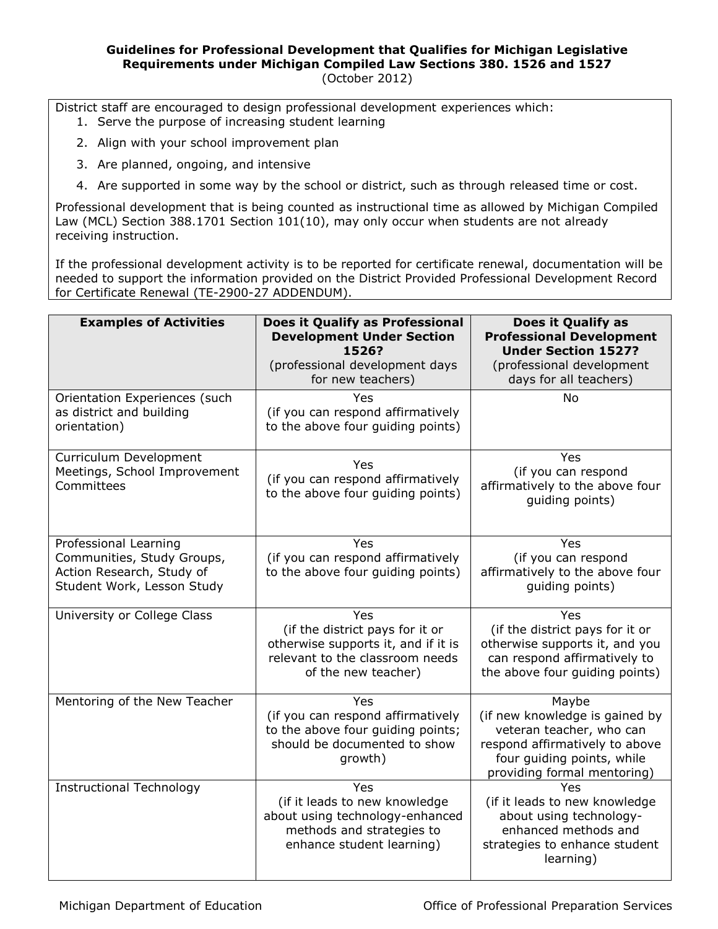## **Guidelines for Professional Development that Qualifies for Michigan Legislative Requirements under Michigan Compiled Law Sections 380. 1526 and 1527** (October 2012)

District staff are encouraged to design professional development experiences which:

- 1. Serve the purpose of increasing student learning
- 2. Align with your school improvement plan
- 3. Are planned, ongoing, and intensive
- 4. Are supported in some way by the school or district, such as through released time or cost.

Professional development that is being counted as instructional time as allowed by Michigan Compiled Law (MCL) Section 388.1701 Section 101(10), may only occur when students are not already receiving instruction.

If the professional development activity is to be reported for certificate renewal, documentation will be needed to support the information provided on the District Provided Professional Development Record for Certificate Renewal (TE-2900-27 ADDENDUM).

| <b>Examples of Activities</b>                                                                                  | Does it Qualify as Professional<br><b>Development Under Section</b><br>1526?<br>(professional development days<br>for new teachers)     | Does it Qualify as<br><b>Professional Development</b><br><b>Under Section 1527?</b><br>(professional development<br>days for all teachers)                         |
|----------------------------------------------------------------------------------------------------------------|-----------------------------------------------------------------------------------------------------------------------------------------|--------------------------------------------------------------------------------------------------------------------------------------------------------------------|
| Orientation Experiences (such<br>as district and building<br>orientation)                                      | Yes<br>(if you can respond affirmatively<br>to the above four guiding points)                                                           | <b>No</b>                                                                                                                                                          |
| Curriculum Development<br>Meetings, School Improvement<br>Committees                                           | Yes<br>(if you can respond affirmatively<br>to the above four guiding points)                                                           | Yes<br>(if you can respond<br>affirmatively to the above four<br>guiding points)                                                                                   |
| Professional Learning<br>Communities, Study Groups,<br>Action Research, Study of<br>Student Work, Lesson Study | Yes<br>(if you can respond affirmatively<br>to the above four guiding points)                                                           | Yes<br>(if you can respond<br>affirmatively to the above four<br>guiding points)                                                                                   |
| University or College Class                                                                                    | Yes<br>(if the district pays for it or<br>otherwise supports it, and if it is<br>relevant to the classroom needs<br>of the new teacher) | Yes<br>(if the district pays for it or<br>otherwise supports it, and you<br>can respond affirmatively to<br>the above four quiding points)                         |
| Mentoring of the New Teacher                                                                                   | Yes<br>(if you can respond affirmatively<br>to the above four guiding points;<br>should be documented to show<br>growth)                | Maybe<br>(if new knowledge is gained by<br>veteran teacher, who can<br>respond affirmatively to above<br>four guiding points, while<br>providing formal mentoring) |
| <b>Instructional Technology</b>                                                                                | Yes<br>(if it leads to new knowledge<br>about using technology-enhanced<br>methods and strategies to<br>enhance student learning)       | Yes<br>(if it leads to new knowledge<br>about using technology-<br>enhanced methods and<br>strategies to enhance student<br>learning)                              |